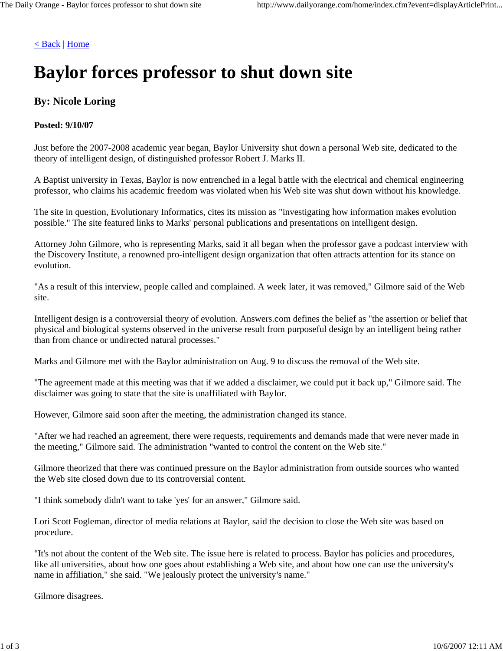#### < Back | Home

# **Baylor forces professor to shut down site**

## **By: Nicole Loring**

#### **Posted: 9/10/07**

Just before the 2007-2008 academic year began, Baylor University shut down a personal Web site, dedicated to the theory of intelligent design, of distinguished professor Robert J. Marks II.

A Baptist university in Texas, Baylor is now entrenched in a legal battle with the electrical and chemical engineering professor, who claims his academic freedom was violated when his Web site was shut down without his knowledge.

The site in question, Evolutionary Informatics, cites its mission as "investigating how information makes evolution possible." The site featured links to Marks' personal publications and presentations on intelligent design.

Attorney John Gilmore, who is representing Marks, said it all began when the professor gave a podcast interview with the Discovery Institute, a renowned pro-intelligent design organization that often attracts attention for its stance on evolution.

"As a result of this interview, people called and complained. A week later, it was removed," Gilmore said of the Web site.

Intelligent design is a controversial theory of evolution. Answers.com defines the belief as "the assertion or belief that physical and biological systems observed in the universe result from purposeful design by an intelligent being rather than from chance or undirected natural processes."

Marks and Gilmore met with the Baylor administration on Aug. 9 to discuss the removal of the Web site.

"The agreement made at this meeting was that if we added a disclaimer, we could put it back up," Gilmore said. The disclaimer was going to state that the site is unaffiliated with Baylor.

However, Gilmore said soon after the meeting, the administration changed its stance.

"After we had reached an agreement, there were requests, requirements and demands made that were never made in the meeting," Gilmore said. The administration "wanted to control the content on the Web site."

Gilmore theorized that there was continued pressure on the Baylor administration from outside sources who wanted the Web site closed down due to its controversial content.

"I think somebody didn't want to take 'yes' for an answer," Gilmore said.

Lori Scott Fogleman, director of media relations at Baylor, said the decision to close the Web site was based on procedure.

"It's not about the content of the Web site. The issue here is related to process. Baylor has policies and procedures, like all universities, about how one goes about establishing a Web site, and about how one can use the university's name in affiliation," she said. "We jealously protect the university's name."

Gilmore disagrees.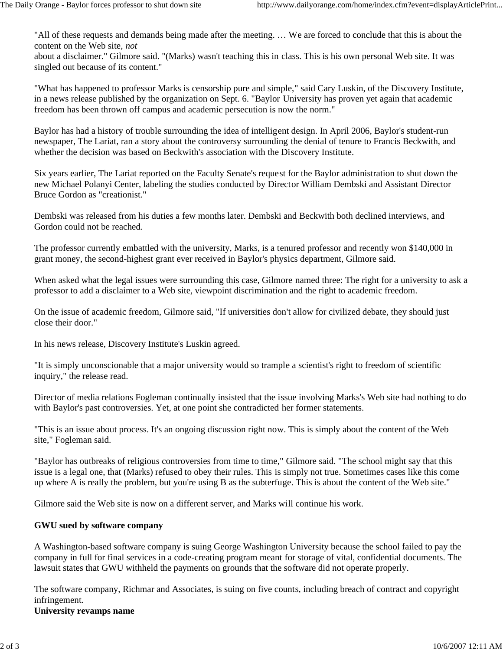"All of these requests and demands being made after the meeting. … We are forced to conclude that this is about the content on the Web site, *not*

about a disclaimer." Gilmore said. "(Marks) wasn't teaching this in class. This is his own personal Web site. It was singled out because of its content."

"What has happened to professor Marks is censorship pure and simple," said Cary Luskin, of the Discovery Institute, in a news release published by the organization on Sept. 6. "Baylor University has proven yet again that academic freedom has been thrown off campus and academic persecution is now the norm."

Baylor has had a history of trouble surrounding the idea of intelligent design. In April 2006, Baylor's student-run newspaper, The Lariat, ran a story about the controversy surrounding the denial of tenure to Francis Beckwith, and whether the decision was based on Beckwith's association with the Discovery Institute.

Six years earlier, The Lariat reported on the Faculty Senate's request for the Baylor administration to shut down the new Michael Polanyi Center, labeling the studies conducted by Director William Dembski and Assistant Director Bruce Gordon as "creationist."

Dembski was released from his duties a few months later. Dembski and Beckwith both declined interviews, and Gordon could not be reached.

The professor currently embattled with the university, Marks, is a tenured professor and recently won \$140,000 in grant money, the second-highest grant ever received in Baylor's physics department, Gilmore said.

When asked what the legal issues were surrounding this case, Gilmore named three: The right for a university to ask a professor to add a disclaimer to a Web site, viewpoint discrimination and the right to academic freedom.

On the issue of academic freedom, Gilmore said, "If universities don't allow for civilized debate, they should just close their door."

In his news release, Discovery Institute's Luskin agreed.

"It is simply unconscionable that a major university would so trample a scientist's right to freedom of scientific inquiry," the release read.

Director of media relations Fogleman continually insisted that the issue involving Marks's Web site had nothing to do with Baylor's past controversies. Yet, at one point she contradicted her former statements.

"This is an issue about process. It's an ongoing discussion right now. This is simply about the content of the Web site," Fogleman said.

"Baylor has outbreaks of religious controversies from time to time," Gilmore said. "The school might say that this issue is a legal one, that (Marks) refused to obey their rules. This is simply not true. Sometimes cases like this come up where A is really the problem, but you're using B as the subterfuge. This is about the content of the Web site."

Gilmore said the Web site is now on a different server, and Marks will continue his work.

## **GWU sued by software company**

A Washington-based software company is suing George Washington University because the school failed to pay the company in full for final services in a code-creating program meant for storage of vital, confidential documents. The lawsuit states that GWU withheld the payments on grounds that the software did not operate properly.

The software company, Richmar and Associates, is suing on five counts, including breach of contract and copyright infringement.

**University revamps name**